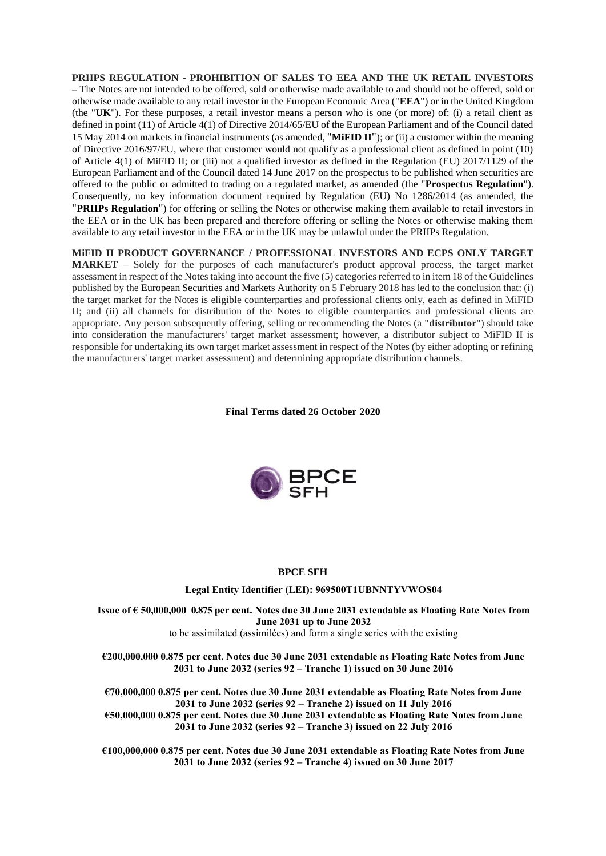**PRIIPS REGULATION - PROHIBITION OF SALES TO EEA AND THE UK RETAIL INVESTORS –** The Notes are not intended to be offered, sold or otherwise made available to and should not be offered, sold or otherwise made available to any retail investor in the European Economic Area ("**EEA**") or in the United Kingdom (the "**UK**"). For these purposes, a retail investor means a person who is one (or more) of: (i) a retail client as defined in point (11) of Article 4(1) of Directive 2014/65/EU of the European Parliament and of the Council dated 15 May 2014 on markets in financial instruments (as amended, "**MiFID II**"); or (ii) a customer within the meaning of Directive 2016/97/EU, where that customer would not qualify as a professional client as defined in point (10) of Article 4(1) of MiFID II; or (iii) not a qualified investor as defined in the Regulation (EU) 2017/1129 of the European Parliament and of the Council dated 14 June 2017 on the prospectus to be published when securities are offered to the public or admitted to trading on a regulated market, as amended (the "**Prospectus Regulation**"). Consequently, no key information document required by Regulation (EU) No 1286/2014 (as amended, the "**PRIIPs Regulation**") for offering or selling the Notes or otherwise making them available to retail investors in the EEA or in the UK has been prepared and therefore offering or selling the Notes or otherwise making them available to any retail investor in the EEA or in the UK may be unlawful under the PRIIPs Regulation.

**MiFID II PRODUCT GOVERNANCE / PROFESSIONAL INVESTORS AND ECPS ONLY TARGET MARKET** – Solely for the purposes of each manufacturer's product approval process, the target market assessment in respect of the Notes taking into account the five (5) categories referred to in item 18 of the Guidelines published by the European Securities and Markets Authority on 5 February 2018 has led to the conclusion that: (i) the target market for the Notes is eligible counterparties and professional clients only, each as defined in MiFID II; and (ii) all channels for distribution of the Notes to eligible counterparties and professional clients are appropriate. Any person subsequently offering, selling or recommending the Notes (a "**distributor**") should take into consideration the manufacturers' target market assessment; however, a distributor subject to MiFID II is responsible for undertaking its own target market assessment in respect of the Notes (by either adopting or refining the manufacturers' target market assessment) and determining appropriate distribution channels.

**Final Terms dated 26 October 2020**



#### **BPCE SFH**

#### **Legal Entity Identifier (LEI): 969500T1UBNNTYVWOS04**

**Issue of € 50,000,000 0.875 per cent. Notes due 30 June 2031 extendable as Floating Rate Notes from June 2031 up to June 2032** to be assimilated (assimilées) and form a single series with the existing

**€200,000,000 0.875 per cent. Notes due 30 June 2031 extendable as Floating Rate Notes from June 2031 to June 2032 (series 92 – Tranche 1) issued on 30 June 2016**

**€70,000,000 0.875 per cent. Notes due 30 June 2031 extendable as Floating Rate Notes from June 2031 to June 2032 (series 92 – Tranche 2) issued on 11 July 2016 €50,000,000 0.875 per cent. Notes due 30 June 2031 extendable as Floating Rate Notes from June 2031 to June 2032 (series 92 – Tranche 3) issued on 22 July 2016**

**€100,000,000 0.875 per cent. Notes due 30 June 2031 extendable as Floating Rate Notes from June 2031 to June 2032 (series 92 – Tranche 4) issued on 30 June 2017**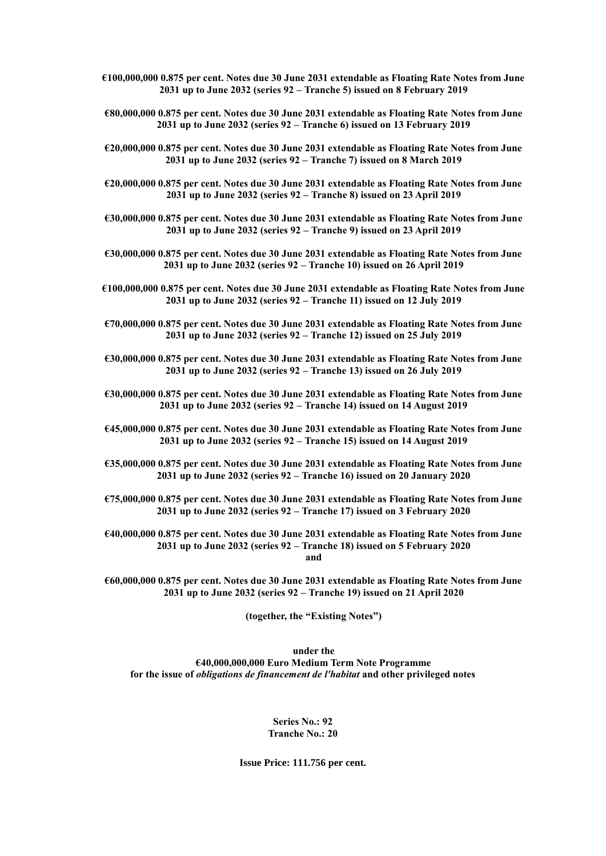- **€100,000,000 0.875 per cent. Notes due 30 June 2031 extendable as Floating Rate Notes from June 2031 up to June 2032 (series 92 – Tranche 5) issued on 8 February 2019**
- **€80,000,000 0.875 per cent. Notes due 30 June 2031 extendable as Floating Rate Notes from June 2031 up to June 2032 (series 92 – Tranche 6) issued on 13 February 2019**
- **€20,000,000 0.875 per cent. Notes due 30 June 2031 extendable as Floating Rate Notes from June 2031 up to June 2032 (series 92 – Tranche 7) issued on 8 March 2019**
- **€20,000,000 0.875 per cent. Notes due 30 June 2031 extendable as Floating Rate Notes from June 2031 up to June 2032 (series 92 – Tranche 8) issued on 23 April 2019**
- **€30,000,000 0.875 per cent. Notes due 30 June 2031 extendable as Floating Rate Notes from June 2031 up to June 2032 (series 92 – Tranche 9) issued on 23 April 2019**
- **€30,000,000 0.875 per cent. Notes due 30 June 2031 extendable as Floating Rate Notes from June 2031 up to June 2032 (series 92 – Tranche 10) issued on 26 April 2019**
- **€100,000,000 0.875 per cent. Notes due 30 June 2031 extendable as Floating Rate Notes from June 2031 up to June 2032 (series 92 – Tranche 11) issued on 12 July 2019**
- **€70,000,000 0.875 per cent. Notes due 30 June 2031 extendable as Floating Rate Notes from June 2031 up to June 2032 (series 92 – Tranche 12) issued on 25 July 2019**
- **€30,000,000 0.875 per cent. Notes due 30 June 2031 extendable as Floating Rate Notes from June 2031 up to June 2032 (series 92 – Tranche 13) issued on 26 July 2019**
- **€30,000,000 0.875 per cent. Notes due 30 June 2031 extendable as Floating Rate Notes from June 2031 up to June 2032 (series 92 – Tranche 14) issued on 14 August 2019**
- **€45,000,000 0.875 per cent. Notes due 30 June 2031 extendable as Floating Rate Notes from June 2031 up to June 2032 (series 92 – Tranche 15) issued on 14 August 2019**
- **€35,000,000 0.875 per cent. Notes due 30 June 2031 extendable as Floating Rate Notes from June 2031 up to June 2032 (series 92 – Tranche 16) issued on 20 January 2020**
- **€75,000,000 0.875 per cent. Notes due 30 June 2031 extendable as Floating Rate Notes from June 2031 up to June 2032 (series 92 – Tranche 17) issued on 3 February 2020**
- **€40,000,000 0.875 per cent. Notes due 30 June 2031 extendable as Floating Rate Notes from June 2031 up to June 2032 (series 92 – Tranche 18) issued on 5 February 2020 and**
- **€60,000,000 0.875 per cent. Notes due 30 June 2031 extendable as Floating Rate Notes from June 2031 up to June 2032 (series 92 – Tranche 19) issued on 21 April 2020**

**(together, the "Existing Notes")**

**under the €40,000,000,000 Euro Medium Term Note Programme for the issue of** *obligations de financement de l'habitat* **and other privileged notes**

> **Series No.: 92 Tranche No.: 20**

**Issue Price: 111.756 per cent.**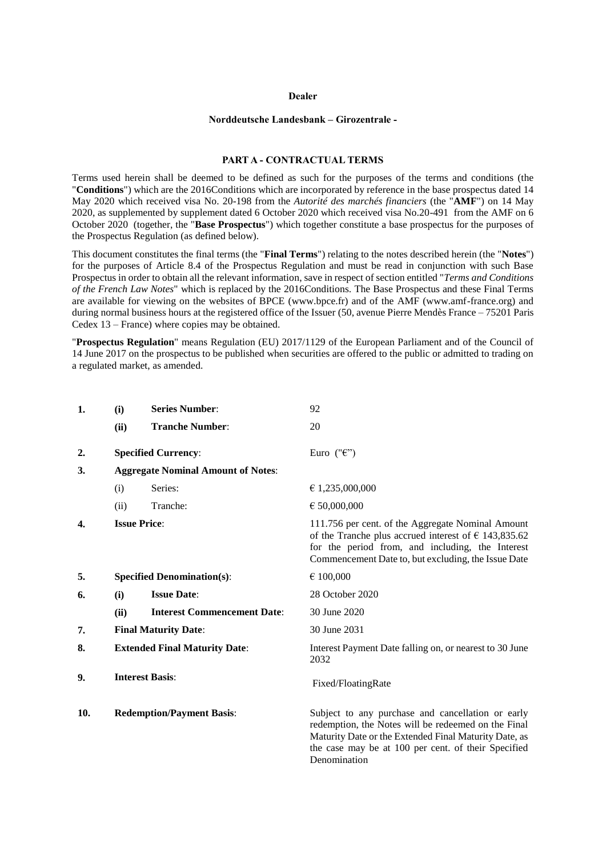#### **Dealer**

#### **Norddeutsche Landesbank – Girozentrale -**

#### **PART A - CONTRACTUAL TERMS**

Terms used herein shall be deemed to be defined as such for the purposes of the terms and conditions (the "**Conditions**") which are the 2016Conditions which are incorporated by reference in the base prospectus dated 14 May 2020 which received visa No. 20-198 from the *Autorité des marchés financiers* (the "**AMF**") on 14 May 2020, as supplemented by supplement dated 6 October 2020 which received visa No.20-491 from the AMF on 6 October 2020 (together, the "**Base Prospectus**") which together constitute a base prospectus for the purposes of the Prospectus Regulation (as defined below).

This document constitutes the final terms (the "**Final Terms**") relating to the notes described herein (the "**Notes**") for the purposes of Article 8.4 of the Prospectus Regulation and must be read in conjunction with such Base Prospectus in order to obtain all the relevant information, save in respect of section entitled "*Terms and Conditions of the French Law Notes*" which is replaced by the 2016Conditions. The Base Prospectus and these Final Terms are available for viewing on the websites of BPCE (www.bpce.fr) and of the AMF (www.amf-france.org) and during normal business hours at the registered office of the Issuer (50, avenue Pierre Mendès France – 75201 Paris Cedex 13 – France) where copies may be obtained.

"**Prospectus Regulation**" means Regulation (EU) 2017/1129 of the European Parliament and of the Council of 14 June 2017 on the prospectus to be published when securities are offered to the public or admitted to trading on a regulated market, as amended.

| 1.             | (i)                                  | <b>Series Number:</b>                     | 92                                                                                                                                                                                                                                       |
|----------------|--------------------------------------|-------------------------------------------|------------------------------------------------------------------------------------------------------------------------------------------------------------------------------------------------------------------------------------------|
|                | (ii)                                 | <b>Tranche Number:</b>                    | 20                                                                                                                                                                                                                                       |
| $\mathbf{2}$ . |                                      | <b>Specified Currency:</b>                | Euro (" $\epsilon$ ")                                                                                                                                                                                                                    |
| 3.             |                                      | <b>Aggregate Nominal Amount of Notes:</b> |                                                                                                                                                                                                                                          |
|                | (i)                                  | Series:                                   | € 1,235,000,000                                                                                                                                                                                                                          |
|                | (ii)                                 | Tranche:                                  | $\epsilon$ 50,000,000                                                                                                                                                                                                                    |
| 4.             |                                      | <b>Issue Price:</b>                       | 111.756 per cent. of the Aggregate Nominal Amount<br>of the Tranche plus accrued interest of $\epsilon$ 143,835.62<br>for the period from, and including, the Interest<br>Commencement Date to, but excluding, the Issue Date            |
| 5.             |                                      | <b>Specified Denomination(s):</b>         | € 100,000                                                                                                                                                                                                                                |
| 6.             | (i)                                  | <b>Issue Date:</b>                        | 28 October 2020                                                                                                                                                                                                                          |
|                | (ii)                                 | <b>Interest Commencement Date:</b>        | 30 June 2020                                                                                                                                                                                                                             |
| 7.             | <b>Final Maturity Date:</b>          |                                           | 30 June 2031                                                                                                                                                                                                                             |
| 8.             | <b>Extended Final Maturity Date:</b> |                                           | Interest Payment Date falling on, or nearest to 30 June<br>2032                                                                                                                                                                          |
| 9.             | <b>Interest Basis:</b>               |                                           | Fixed/FloatingRate                                                                                                                                                                                                                       |
| 10.            |                                      | <b>Redemption/Payment Basis:</b>          | Subject to any purchase and cancellation or early<br>redemption, the Notes will be redeemed on the Final<br>Maturity Date or the Extended Final Maturity Date, as<br>the case may be at 100 per cent. of their Specified<br>Denomination |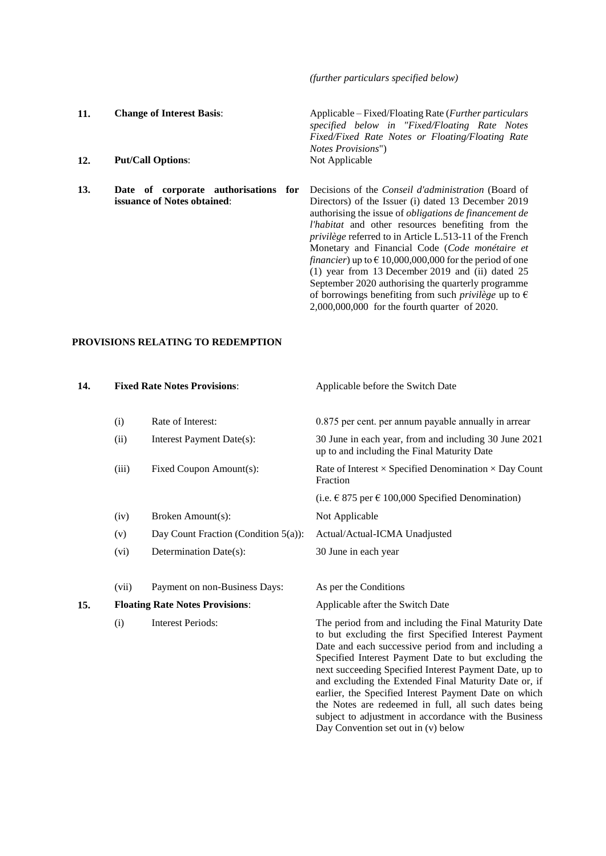*(further particulars specified below)*

of borrowings benefiting from such *privilège* up to  $\epsilon$ 2,000,000,000 for the fourth quarter of 2020.

**11. Change of Interest Basis**: Applicable – Fixed/Floating Rate (*Further particulars specified below in "Fixed/Floating Rate Notes Fixed/Fixed Rate Notes or Floating/Floating Rate Notes Provisions*") 12. **Put/Call Options**: Not Applicable **13. Date of corporate authorisations for issuance of Notes obtained**: Decisions of the *Conseil d'administration* (Board of Directors) of the Issuer (i) dated 13 December 2019 authorising the issue of *obligations de financement de l'habitat* and other resources benefiting from the *privilège* referred to in Article L.513-11 of the French Monetary and Financial Code (*Code monétaire et financier*) up to  $\epsilon$  10,000,000,000 for the period of one (1) year from 13 December 2019 and (ii) dated 25 September 2020 authorising the quarterly programme

## **PROVISIONS RELATING TO REDEMPTION**

| 14. |                                        | <b>Fixed Rate Notes Provisions:</b>     | Applicable before the Switch Date                                                                                                                                      |
|-----|----------------------------------------|-----------------------------------------|------------------------------------------------------------------------------------------------------------------------------------------------------------------------|
|     | (i)                                    | Rate of Interest:                       | 0.875 per cent. per annum payable annually in arrear                                                                                                                   |
|     | (ii)                                   | Interest Payment Date(s):               | 30 June in each year, from and including 30 June 2021<br>up to and including the Final Maturity Date                                                                   |
|     | (iii)                                  | Fixed Coupon Amount(s):                 | Rate of Interest $\times$ Specified Denomination $\times$ Day Count<br>Fraction                                                                                        |
|     |                                        |                                         | (i.e. € 875 per € 100,000 Specified Denomination)                                                                                                                      |
|     | (iv)                                   | Broken Amount(s):                       | Not Applicable                                                                                                                                                         |
|     | (v)                                    | Day Count Fraction (Condition $5(a)$ ): | Actual/Actual-ICMA Unadjusted                                                                                                                                          |
|     | (vi)                                   | Determination Date(s):                  | 30 June in each year                                                                                                                                                   |
|     | (vii)                                  | Payment on non-Business Days:           | As per the Conditions                                                                                                                                                  |
| 15. | <b>Floating Rate Notes Provisions:</b> |                                         | Applicable after the Switch Date                                                                                                                                       |
|     | (i)                                    | <b>Interest Periods:</b>                | The period from and including the Final Maturity Date<br>to but excluding the first Specified Interest Payment<br>Date and each successive period from and including a |

Specified Interest Payment Date to but excluding the next succeeding Specified Interest Payment Date, up to and excluding the Extended Final Maturity Date or, if earlier, the Specified Interest Payment Date on which the Notes are redeemed in full, all such dates being subject to adjustment in accordance with the Business Day Convention set out in (v) below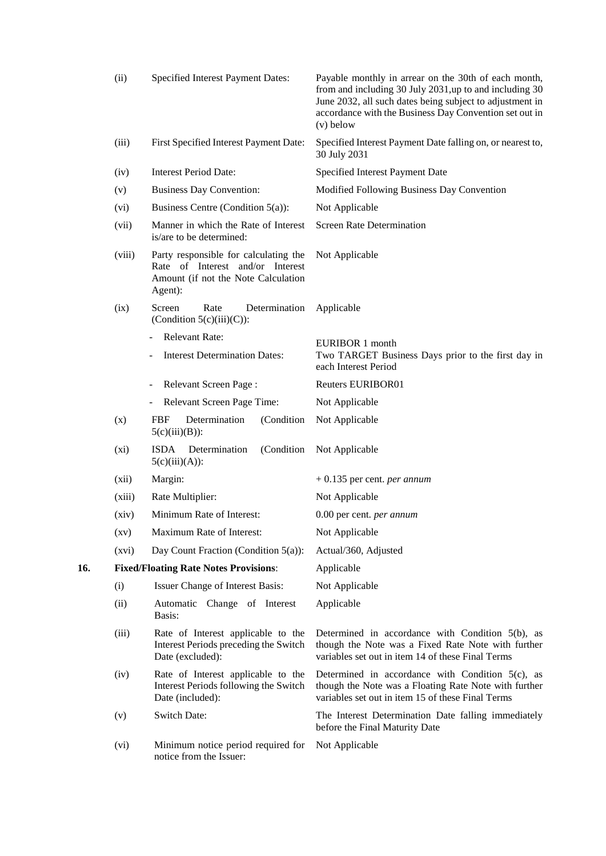|     | (ii)               | Specified Interest Payment Dates:                                                                                           | Payable monthly in arrear on the 30th of each month,<br>from and including 30 July 2031, up to and including 30<br>June 2032, all such dates being subject to adjustment in<br>accordance with the Business Day Convention set out in<br>$(v)$ below |
|-----|--------------------|-----------------------------------------------------------------------------------------------------------------------------|------------------------------------------------------------------------------------------------------------------------------------------------------------------------------------------------------------------------------------------------------|
|     | (iii)              | First Specified Interest Payment Date:                                                                                      | Specified Interest Payment Date falling on, or nearest to,<br>30 July 2031                                                                                                                                                                           |
|     | (iv)               | <b>Interest Period Date:</b>                                                                                                | Specified Interest Payment Date                                                                                                                                                                                                                      |
|     | (v)                | <b>Business Day Convention:</b>                                                                                             | Modified Following Business Day Convention                                                                                                                                                                                                           |
|     | (vi)               | Business Centre (Condition $5(a)$ ):                                                                                        | Not Applicable                                                                                                                                                                                                                                       |
|     | (vii)              | Manner in which the Rate of Interest<br>is/are to be determined:                                                            | <b>Screen Rate Determination</b>                                                                                                                                                                                                                     |
|     | (viii)             | Party responsible for calculating the<br>Rate of Interest and/or Interest<br>Amount (if not the Note Calculation<br>Agent): | Not Applicable                                                                                                                                                                                                                                       |
|     | (ix)               | Determination<br>Screen<br>Rate<br>(Condition $5(c)(iii)(C)$ ):                                                             | Applicable                                                                                                                                                                                                                                           |
|     |                    | <b>Relevant Rate:</b><br><b>Interest Determination Dates:</b>                                                               | <b>EURIBOR 1 month</b><br>Two TARGET Business Days prior to the first day in<br>each Interest Period                                                                                                                                                 |
|     |                    | Relevant Screen Page:                                                                                                       | <b>Reuters EURIBOR01</b>                                                                                                                                                                                                                             |
|     |                    | Relevant Screen Page Time:<br>$\overline{\phantom{a}}$                                                                      | Not Applicable                                                                                                                                                                                                                                       |
|     | (x)                | <b>FBF</b><br>Determination<br>(Condition)<br>$5(c)(iii)(B))$ :                                                             | Not Applicable                                                                                                                                                                                                                                       |
|     | (xi)               | ISDA<br>Determination<br>(Condition<br>$5(c)(iii)(A))$ :                                                                    | Not Applicable                                                                                                                                                                                                                                       |
|     | (xii)              | Margin:                                                                                                                     | $+0.135$ per cent. <i>per annum</i>                                                                                                                                                                                                                  |
|     | (xiii)             | Rate Multiplier:                                                                                                            | Not Applicable                                                                                                                                                                                                                                       |
|     | (xiv)              | Minimum Rate of Interest:                                                                                                   | 0.00 per cent. per annum                                                                                                                                                                                                                             |
|     | $\left( xy\right)$ | Maximum Rate of Interest:                                                                                                   | Not Applicable                                                                                                                                                                                                                                       |
|     | (xvi)              | Day Count Fraction (Condition $5(a)$ ):                                                                                     | Actual/360, Adjusted                                                                                                                                                                                                                                 |
| 16. |                    | <b>Fixed/Floating Rate Notes Provisions:</b>                                                                                | Applicable                                                                                                                                                                                                                                           |
|     | (i)                | Issuer Change of Interest Basis:                                                                                            | Not Applicable                                                                                                                                                                                                                                       |
|     | (ii)               | Automatic Change of Interest<br>Basis:                                                                                      | Applicable                                                                                                                                                                                                                                           |
|     | (iii)              | Rate of Interest applicable to the<br>Interest Periods preceding the Switch<br>Date (excluded):                             | Determined in accordance with Condition 5(b), as<br>though the Note was a Fixed Rate Note with further<br>variables set out in item 14 of these Final Terms                                                                                          |
|     | (iv)               | Rate of Interest applicable to the<br>Interest Periods following the Switch<br>Date (included):                             | Determined in accordance with Condition $5(c)$ , as<br>though the Note was a Floating Rate Note with further<br>variables set out in item 15 of these Final Terms                                                                                    |
|     | (v)                | <b>Switch Date:</b>                                                                                                         | The Interest Determination Date falling immediately<br>before the Final Maturity Date                                                                                                                                                                |
|     | (vi)               | Minimum notice period required for<br>notice from the Issuer:                                                               | Not Applicable                                                                                                                                                                                                                                       |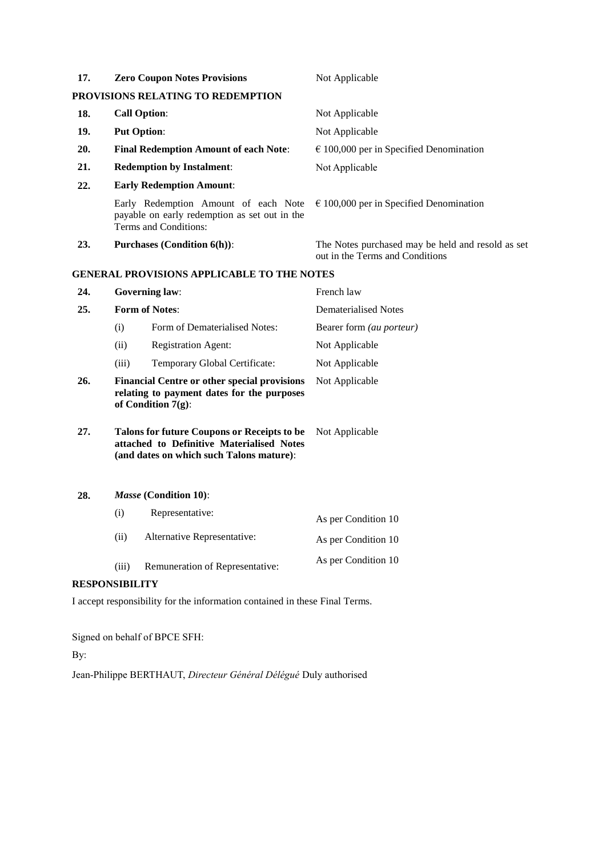| 17.            |                                                                                                                                             | <b>Zero Coupon Notes Provisions</b>                                                                            | Not Applicable                                                                       |
|----------------|---------------------------------------------------------------------------------------------------------------------------------------------|----------------------------------------------------------------------------------------------------------------|--------------------------------------------------------------------------------------|
|                |                                                                                                                                             | PROVISIONS RELATING TO REDEMPTION                                                                              |                                                                                      |
| 18.            |                                                                                                                                             | <b>Call Option:</b>                                                                                            | Not Applicable                                                                       |
| 19.            |                                                                                                                                             | <b>Put Option:</b>                                                                                             | Not Applicable                                                                       |
| 20.            |                                                                                                                                             | <b>Final Redemption Amount of each Note:</b>                                                                   | $\epsilon$ 100,000 per in Specified Denomination                                     |
| 21.            |                                                                                                                                             | <b>Redemption by Instalment:</b>                                                                               | Not Applicable                                                                       |
| 22.            |                                                                                                                                             | <b>Early Redemption Amount:</b>                                                                                |                                                                                      |
|                |                                                                                                                                             | Early Redemption Amount of each Note<br>payable on early redemption as set out in the<br>Terms and Conditions: | $\epsilon$ 100,000 per in Specified Denomination                                     |
| 23.            |                                                                                                                                             | <b>Purchases (Condition 6(h)):</b>                                                                             | The Notes purchased may be held and resold as set<br>out in the Terms and Conditions |
|                |                                                                                                                                             | <b>GENERAL PROVISIONS APPLICABLE TO THE NOTES</b>                                                              |                                                                                      |
| 24.            |                                                                                                                                             | <b>Governing law:</b>                                                                                          | French law                                                                           |
| 25.            | <b>Form of Notes:</b>                                                                                                                       |                                                                                                                | <b>Dematerialised Notes</b>                                                          |
|                | (i)                                                                                                                                         | Form of Dematerialised Notes:                                                                                  | Bearer form (au porteur)                                                             |
|                | (ii)                                                                                                                                        | <b>Registration Agent:</b>                                                                                     | Not Applicable                                                                       |
|                | (iii)                                                                                                                                       | Temporary Global Certificate:                                                                                  | Not Applicable                                                                       |
| 26.            | <b>Financial Centre or other special provisions</b><br>relating to payment dates for the purposes<br>of Condition $7(g)$ :                  |                                                                                                                | Not Applicable                                                                       |
| 27.            | <b>Talons for future Coupons or Receipts to be</b><br>attached to Definitive Materialised Notes<br>(and dates on which such Talons mature): |                                                                                                                | Not Applicable                                                                       |
| 28.            |                                                                                                                                             | Masse (Condition 10):                                                                                          |                                                                                      |
|                | (i)                                                                                                                                         | Representative:                                                                                                | As per Condition 10                                                                  |
|                | (ii)                                                                                                                                        | Alternative Representative:                                                                                    | As per Condition 10                                                                  |
|                | (iii)                                                                                                                                       | Remuneration of Representative:                                                                                | As per Condition 10                                                                  |
| RESPONSIBILITY |                                                                                                                                             |                                                                                                                |                                                                                      |

I accept responsibility for the information contained in these Final Terms.

Signed on behalf of BPCE SFH:

## By:

Jean-Philippe BERTHAUT, *Directeur Général Délégué* Duly authorised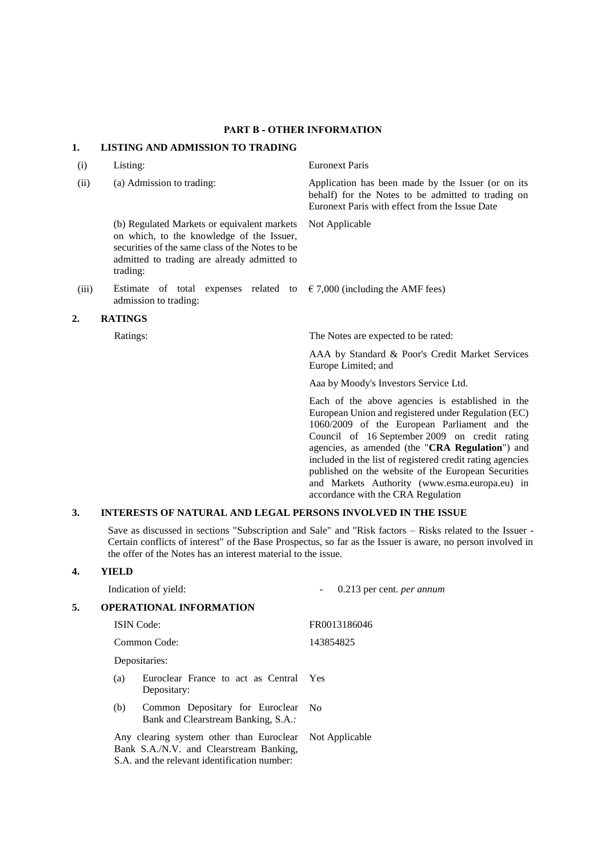## **PART B - OTHER INFORMATION**

## **1. LISTING AND ADMISSION TO TRADING**

(b) Regulated Markets or equivalent markets on which, to the knowledge of the Issuer, securities of the same class of the Notes to be admitted to trading are already admitted to trading:

(iii) Estimate of total expenses related to  $\epsilon$  7,000 (including the AMF fees) admission to trading:

### **2. RATINGS**

(i) Listing: Euronext Paris

(ii) (a) Admission to trading: Application has been made by the Issuer (or on its behalf) for the Notes to be admitted to trading on Euronext Paris with effect from the Issue Date

Not Applicable

Ratings: The Notes are expected to be rated:

AAA by Standard & Poor's Credit Market Services Europe Limited; and

Aaa by Moody's Investors Service Ltd.

Each of the above agencies is established in the European Union and registered under Regulation (EC) 1060/2009 of the European Parliament and the Council of 16 September 2009 on credit rating agencies, as amended (the "**CRA Regulation**") and included in the list of registered credit rating agencies published on the website of the European Securities and Markets Authority (www.esma.europa.eu) in accordance with the CRA Regulation

## **3. INTERESTS OF NATURAL AND LEGAL PERSONS INVOLVED IN THE ISSUE**

Save as discussed in sections "Subscription and Sale" and "Risk factors – Risks related to the Issuer - Certain conflicts of interest" of the Base Prospectus, so far as the Issuer is aware, no person involved in the offer of the Notes has an interest material to the issue.

## **4. YIELD**

|    | Indication of yield:                                                                                                                               |                                        | 0.213 per cent. per annum |  |
|----|----------------------------------------------------------------------------------------------------------------------------------------------------|----------------------------------------|---------------------------|--|
| 5. | <b>OPERATIONAL INFORMATION</b>                                                                                                                     |                                        |                           |  |
|    | <b>ISIN</b> Code:                                                                                                                                  |                                        | FR0013186046              |  |
|    | Common Code:                                                                                                                                       |                                        | 143854825                 |  |
|    | Depositaries:                                                                                                                                      |                                        |                           |  |
|    | (a)<br>Depositary:                                                                                                                                 | Euroclear France to act as Central Yes |                           |  |
|    | Common Depositary for Euroclear<br>(b)<br>Bank and Clearstream Banking, S.A                                                                        | - No                                   |                           |  |
|    | Any clearing system other than Euroclear Not Applicable<br>Bank S.A./N.V. and Clearstream Banking,<br>S.A. and the relevant identification number: |                                        |                           |  |